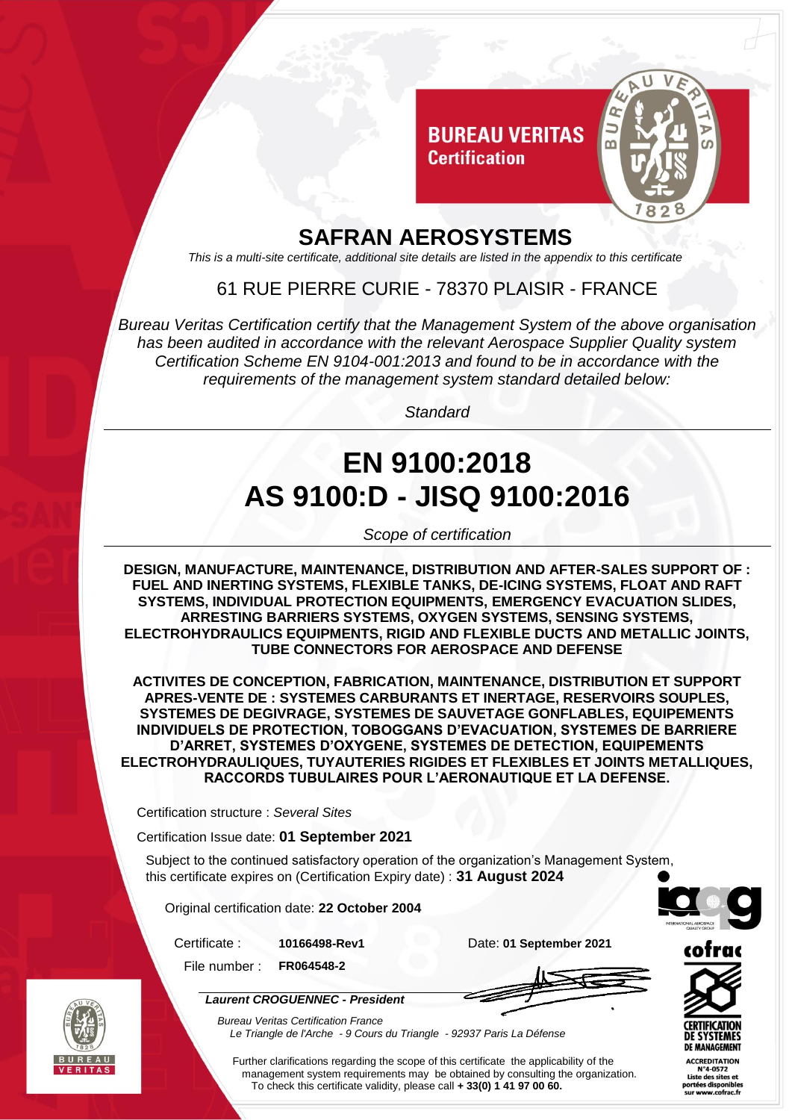

### **SAFRAN AEROSYSTEMS**

*This is a multi-site certificate, additional site details are listed in the appendix to this certificate*

### 61 RUE PIERRE CURIE - 78370 PLAISIR - FRANCE

*Bureau Veritas Certification certify that the Management System of the above organisation has been audited in accordance with the relevant Aerospace Supplier Quality system Certification Scheme EN 9104-001:2013 and found to be in accordance with the requirements of the management system standard detailed below:*

*Standard*

# **EN 9100:2018 AS 9100:D - JISQ 9100:2016**

*Scope of certification*

**DESIGN, MANUFACTURE, MAINTENANCE, DISTRIBUTION AND AFTER-SALES SUPPORT OF : FUEL AND INERTING SYSTEMS, FLEXIBLE TANKS, DE-ICING SYSTEMS, FLOAT AND RAFT SYSTEMS, INDIVIDUAL PROTECTION EQUIPMENTS, EMERGENCY EVACUATION SLIDES, ARRESTING BARRIERS SYSTEMS, OXYGEN SYSTEMS, SENSING SYSTEMS, ELECTROHYDRAULICS EQUIPMENTS, RIGID AND FLEXIBLE DUCTS AND METALLIC JOINTS, TUBE CONNECTORS FOR AEROSPACE AND DEFENSE**

**ACTIVITES DE CONCEPTION, FABRICATION, MAINTENANCE, DISTRIBUTION ET SUPPORT APRES-VENTE DE : SYSTEMES CARBURANTS ET INERTAGE, RESERVOIRS SOUPLES, SYSTEMES DE DEGIVRAGE, SYSTEMES DE SAUVETAGE GONFLABLES, EQUIPEMENTS INDIVIDUELS DE PROTECTION, TOBOGGANS D'EVACUATION, SYSTEMES DE BARRIERE D'ARRET, SYSTEMES D'OXYGENE, SYSTEMES DE DETECTION, EQUIPEMENTS ELECTROHYDRAULIQUES, TUYAUTERIES RIGIDES ET FLEXIBLES ET JOINTS METALLIQUES, RACCORDS TUBULAIRES POUR L'AERONAUTIQUE ET LA DEFENSE.**

Certification structure : *Several Sites*

Certification Issue date: **01 September 2021**

Subject to the continued satisfactory operation of the organization's Management System, this certificate expires on (Certification Expiry date) : **31 August 2024**

Original certification date: **22 October 2004**

Certificate : **10166498-Rev1** Date: **01 September 2021**

File number : **FR064548-2**





*Laurent CROGUENNEC - President*

*Bureau Veritas Certification France Le Triangle de l'Arche - 9 Cours du Triangle - 92937 Paris La Défense* 



**DE SYSTEMES DE MANAGEMENT ACCREDITATION** N°4-0572 Liste des sites et

notées disponibles<br>sur www.cofrac.fr

Further clarifications regarding the scope of this certificate the applicability of the management system requirements may be obtained by consulting the organization. To check this certificate validity, please call **+ 33(0) 1 41 97 00 60.**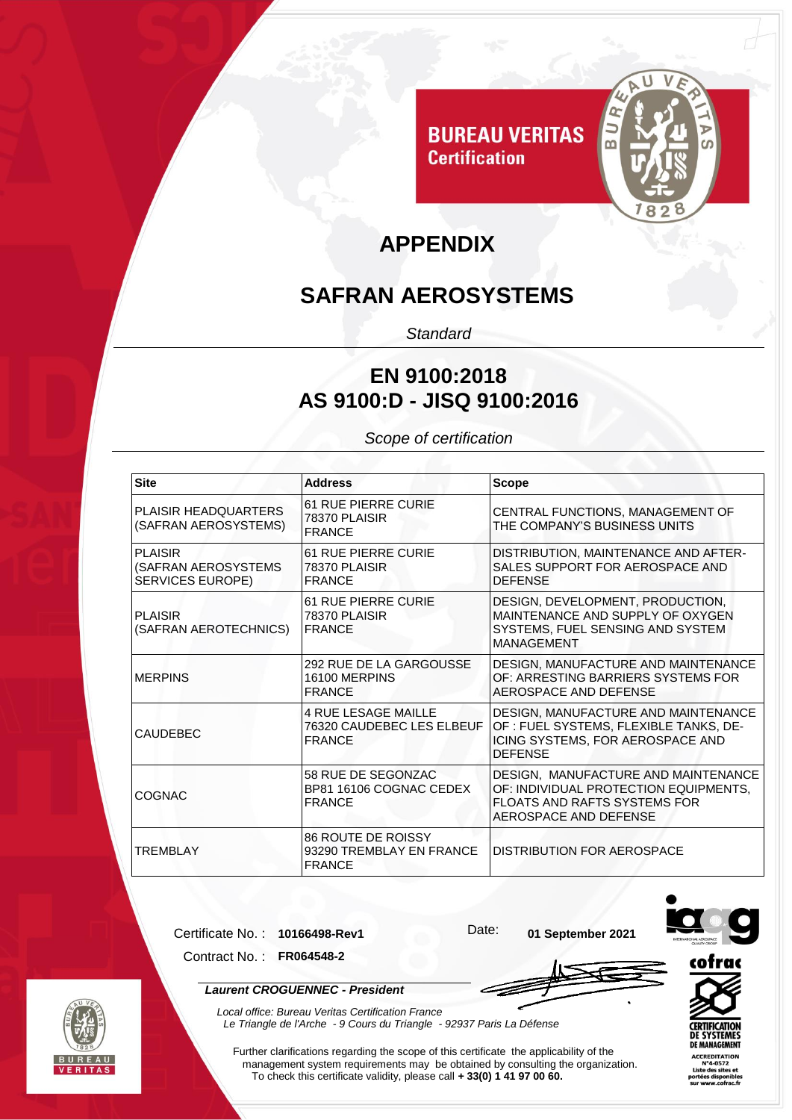

# **APPENDIX**

# **SAFRAN AEROSYSTEMS**

*Standard*

#### **EN 9100:2018 AS 9100:D - JISQ 9100:2016**

*Scope of certification*

| <b>Site</b>                                                      | <b>Address</b>                                                           | <b>Scope</b>                                                                                                                                 |
|------------------------------------------------------------------|--------------------------------------------------------------------------|----------------------------------------------------------------------------------------------------------------------------------------------|
| <b>PLAISIR HEADQUARTERS</b><br>(SAFRAN AEROSYSTEMS)              | <b>61 RUE PIERRE CURIE</b><br>78370 PLAISIR<br><b>FRANCE</b>             | CENTRAL FUNCTIONS, MANAGEMENT OF<br>THE COMPANY'S BUSINESS UNITS                                                                             |
| <b>PLAISIR</b><br>(SAFRAN AEROSYSTEMS<br><b>SERVICES EUROPE)</b> | <b>61 RUE PIERRE CURIE</b><br>78370 PLAISIR<br><b>FRANCE</b>             | DISTRIBUTION, MAINTENANCE AND AFTER-<br>SALES SUPPORT FOR AEROSPACE AND<br><b>DEFENSE</b>                                                    |
| <b>PLAISIR</b><br>(SAFRAN AEROTECHNICS)                          | <b>61 RUE PIERRE CURIE</b><br><b>78370 PLAISIR</b><br><b>FRANCE</b>      | DESIGN, DEVELOPMENT, PRODUCTION,<br>MAINTENANCE AND SUPPLY OF OXYGEN<br>SYSTEMS, FUEL SENSING AND SYSTEM<br>MANAGEMENT                       |
| <b>MERPINS</b>                                                   | 292 RUE DE LA GARGOUSSE<br>16100 MERPINS<br><b>FRANCE</b>                | DESIGN, MANUFACTURE AND MAINTENANCE<br>OF: ARRESTING BARRIERS SYSTEMS FOR<br>AEROSPACE AND DEFENSE                                           |
| <b>CAUDEBEC</b>                                                  | <b>4 RUE LESAGE MAILLE</b><br>76320 CAUDEBEC LES ELBEUF<br><b>FRANCE</b> | DESIGN, MANUFACTURE AND MAINTENANCE<br>OF : FUEL SYSTEMS, FLEXIBLE TANKS, DE-<br>ICING SYSTEMS, FOR AEROSPACE AND<br><b>DEFENSE</b>          |
| <b>COGNAC</b>                                                    | 58 RUE DE SEGONZAC<br>BP81 16106 COGNAC CEDEX<br><b>FRANCE</b>           | DESIGN, MANUFACTURE AND MAINTENANCE<br>OF: INDIVIDUAL PROTECTION EQUIPMENTS,<br><b>FLOATS AND RAFTS SYSTEMS FOR</b><br>AEROSPACE AND DEFENSE |
| <b>TREMBLAY</b>                                                  | <b>86 ROUTE DE ROISSY</b><br>93290 TREMBLAY EN FRANCE<br><b>FRANCE</b>   | IDISTRIBUTION FOR AEROSPACE                                                                                                                  |

Certificate No. : **10166498-Rev1** Date: **01 September 2021**



Contract No. : **FR064548-2**



*Local office: Bureau Veritas Certification France*

*Le Triangle de l'Arche - 9 Cours du Triangle - 92937 Paris La Défense* 

cofrac  $r$ ATION YSTEMES

**DE MANAGEMENT ACCREDITATION**<br>N°4-0572

Liste des sites et

Further clarifications regarding the scope of this certificate the applicability of the management system requirements may be obtained by consulting the organization. To check this certificate validity, please call **+ 33(0) 1 41 97 00 60.**

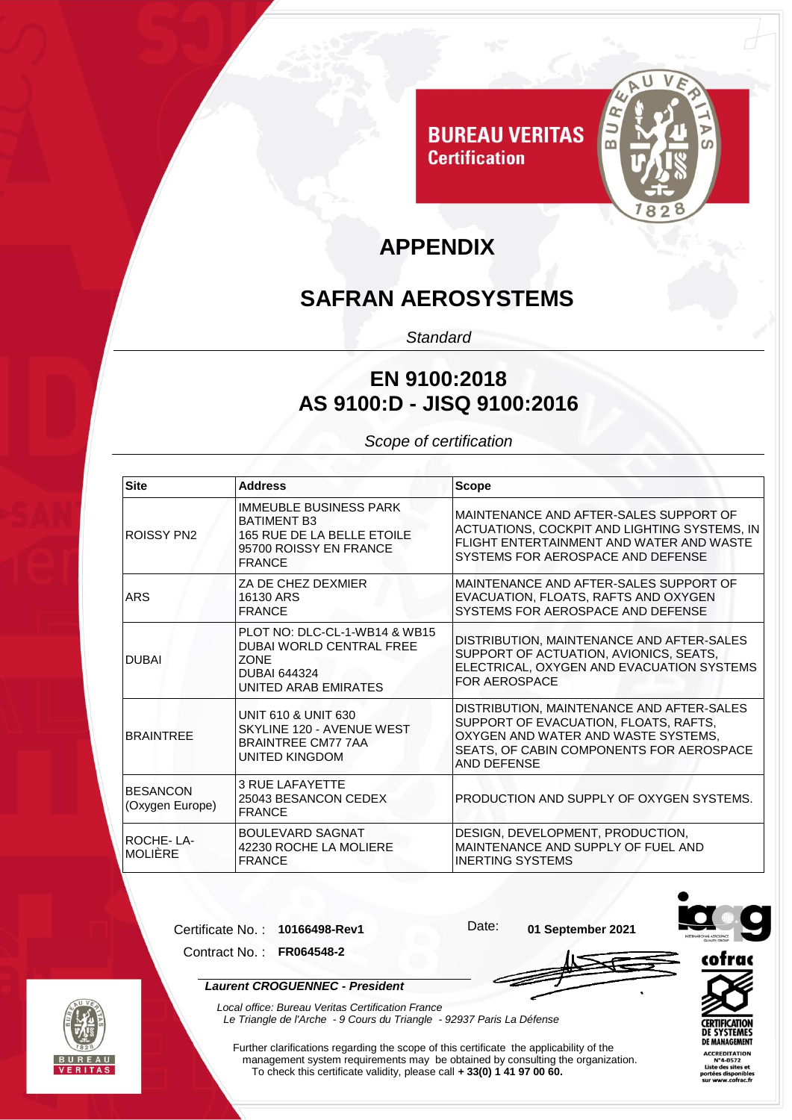

### **APPENDIX**

# **SAFRAN AEROSYSTEMS**

*Standard*

### **EN 9100:2018 AS 9100:D - JISQ 9100:2016**

*Scope of certification*

| <b>Site</b>                        | <b>Address</b>                                                                                                                 | <b>Scope</b>                                                                                                                                                                         |
|------------------------------------|--------------------------------------------------------------------------------------------------------------------------------|--------------------------------------------------------------------------------------------------------------------------------------------------------------------------------------|
| ROISSY PN2                         | <b>IMMEUBLE BUSINESS PARK</b><br><b>BATIMENT B3</b><br>165 RUE DE LA BELLE ETOILE<br>95700 ROISSY EN FRANCE<br><b>FRANCE</b>   | MAINTENANCE AND AFTER-SALES SUPPORT OF<br>ACTUATIONS, COCKPIT AND LIGHTING SYSTEMS, IN<br>FLIGHT ENTERTAINMENT AND WATER AND WASTE<br>SYSTEMS FOR AEROSPACE AND DEFENSE              |
| ARS                                | ZA DE CHEZ DEXMIER<br>16130 ARS<br><b>FRANCE</b>                                                                               | MAINTENANCE AND AFTER-SALES SUPPORT OF<br>EVACUATION, FLOATS, RAFTS AND OXYGEN<br>SYSTEMS FOR AEROSPACE AND DEFENSE                                                                  |
| <b>DUBAL</b>                       | PLOT NO: DLC-CL-1-WB14 & WB15<br><b>DUBAI WORLD CENTRAL FREE</b><br><b>ZONE</b><br><b>DUBAI 644324</b><br>UNITED ARAB EMIRATES | DISTRIBUTION, MAINTENANCE AND AFTER-SALES<br>SUPPORT OF ACTUATION, AVIONICS, SEATS,<br>ELECTRICAL, OXYGEN AND EVACUATION SYSTEMS<br><b>FOR AEROSPACE</b>                             |
| <b>BRAINTREE</b>                   | <b>UNIT 610 &amp; UNIT 630</b><br>SKYLINE 120 - AVENUE WEST<br><b>BRAINTREE CM77 7AA</b><br>UNITED KINGDOM                     | DISTRIBUTION, MAINTENANCE AND AFTER-SALES<br>SUPPORT OF EVACUATION, FLOATS, RAFTS,<br>OXYGEN AND WATER AND WASTE SYSTEMS,<br>SEATS, OF CABIN COMPONENTS FOR AEROSPACE<br>AND DEFENSE |
| <b>BESANCON</b><br>(Oxygen Europe) | <b>3 RUE LAFAYETTE</b><br>25043 BESANCON CEDEX<br><b>FRANCE</b>                                                                | <b>PRODUCTION AND SUPPLY OF OXYGEN SYSTEMS.</b>                                                                                                                                      |
| ROCHE-LA-<br><b>MOLIÈRE</b>        | BOULEVARD SAGNAT<br>42230 ROCHE LA MOLIERE<br><b>FRANCE</b>                                                                    | DESIGN, DEVELOPMENT, PRODUCTION,<br>MAINTENANCE AND SUPPLY OF FUEL AND<br><b>INERTING SYSTEMS</b>                                                                                    |

Certificate No. : **10166498-Rev1** Date: **01 September 2021**

Contract No. : **FR064548-2**





*Laurent CROGUENNEC - President*



*Local office: Bureau Veritas Certification France Le Triangle de l'Arche - 9 Cours du Triangle - 92937 Paris La Défense* 

Further clarifications regarding the scope of this certificate the applicability of the management system requirements may be obtained by consulting the organization. To check this certificate validity, please call **+ 33(0) 1 41 97 00 60.**



**SYSTEMES** 

**DITATION**